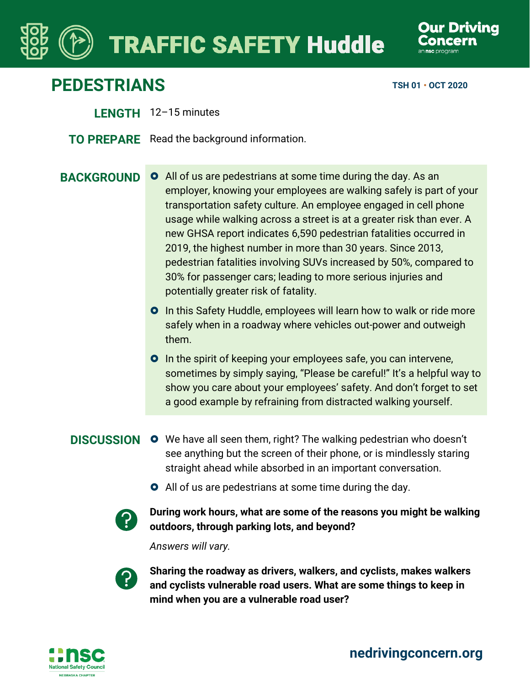## **TRAFFIC SAFETY Huddle**

## **PEDESTRIANS TSH 01 · OCT 2020**

- **LENGTH** 12–15 minutes
- **TO PREPARE** Read the background information.
- 

**BACKGROUND O** All of us are pedestrians at some time during the day. As an employer, knowing your employees are walking safely is part of your transportation safety culture. An employee engaged in cell phone usage while walking across a street is at a greater risk than ever. A new GHSA report indicates 6,590 pedestrian fatalities occurred in 2019, the highest number in more than 30 years. Since 2013, pedestrian fatalities involving SUVs increased by 50%, compared to 30% for passenger cars; leading to more serious injuries and potentially greater risk of fatality.

- **O** In this Safety Huddle, employees will learn how to walk or ride more safely when in a roadway where vehicles out-power and outweigh them.
- **O** In the spirit of keeping your employees safe, you can intervene, sometimes by simply saying, "Please be careful!" It's a helpful way to show you care about your employees' safety. And don't forget to set a good example by refraining from distracted walking yourself.
- 
- **DISCUSSION O** We have all seen them, right? The walking pedestrian who doesn't see anything but the screen of their phone, or is mindlessly staring straight ahead while absorbed in an important conversation.
	- **O** All of us are pedestrians at some time during the day.



**During work hours, what are some of the reasons you might be walking outdoors, through parking lots, and beyond?**

*Answers will vary.*



**Sharing the roadway as drivers, walkers, and cyclists, makes walkers and cyclists vulnerable road users. What are some things to keep in mind when you are a vulnerable road user?**